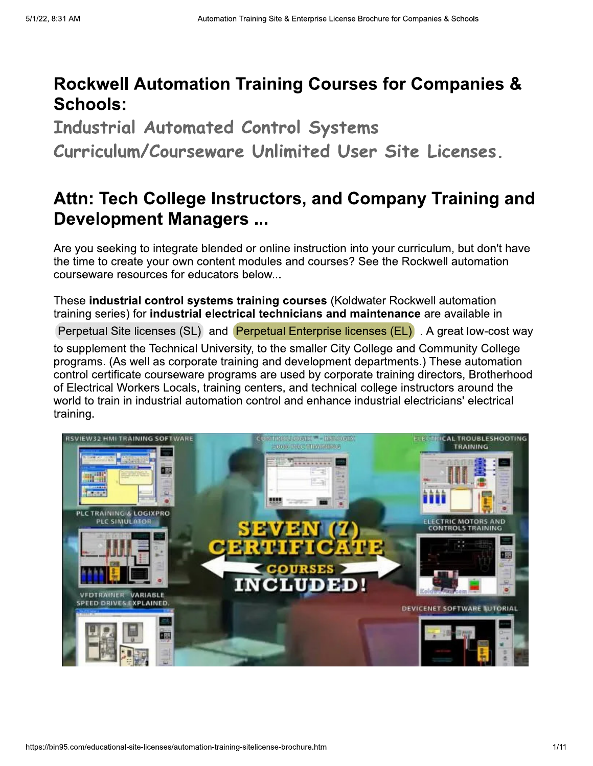# **Rockwell Automation Training Courses for Companies & Schools:**

**Industrial Automated Control Systems** Curriculum/Courseware Unlimited User Site Licenses.

# Attn: Tech College Instructors, and Company Training and **Development Managers ...**

Are you seeking to integrate blended or online instruction into your curriculum, but don't have the time to create your own content modules and courses? See the Rockwell automation courseware resources for educators below...

These industrial control systems training courses (Koldwater Rockwell automation training series) for industrial electrical technicians and maintenance are available in

Perpetual Site licenses (SL) and Perpetual Enterprise licenses (EL) . A great low-cost way

to supplement the Technical University, to the smaller City College and Community College programs. (As well as corporate training and development departments.) These automation control certificate courseware programs are used by corporate training directors. Brotherhood of Electrical Workers Locals, training centers, and technical college instructors around the world to train in industrial automation control and enhance industrial electricians' electrical training.

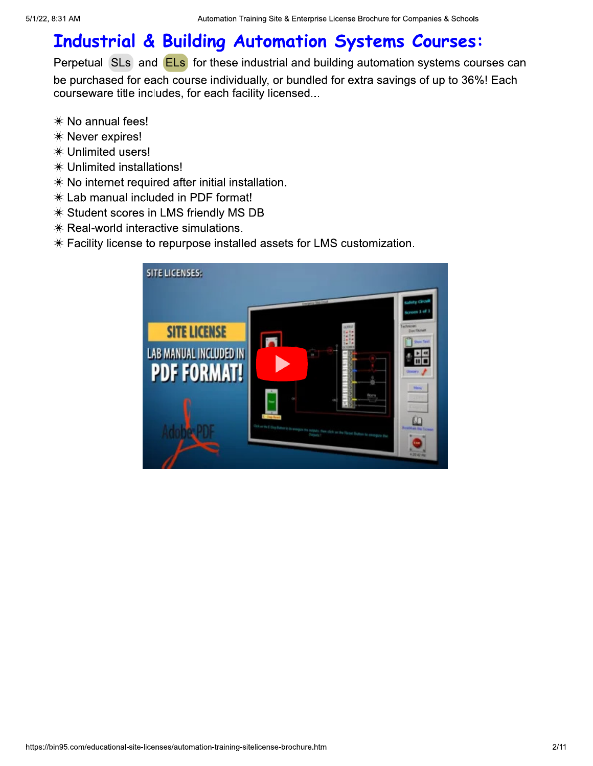# **Industrial & Building Automation Systems Courses:**

Perpetual SLs and ELs for these industrial and building automation systems courses can

be purchased for each course individually, or bundled for extra savings of up to 36%! Each courseware title includes, for each facility licensed...

- \* No annual fees!
- \* Never expires!
- \* Unlimited users!
- \* Unlimited installations!
- $*$  No internet required after initial installation.
- \* Lab manual included in PDF format!
- \* Student scores in LMS friendly MS DB
- $*$  Real-world interactive simulations.
- $*$  Facility license to repurpose installed assets for LMS customization.

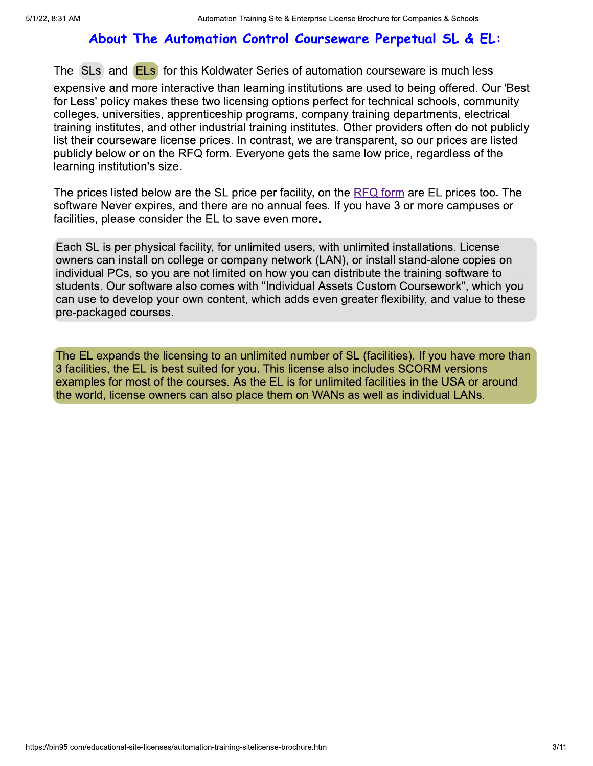### About The Automation Control Courseware Perpetual SL & EL:

The SLs and ELs for this Koldwater Series of automation courseware is much less

expensive and more interactive than learning institutions are used to being offered. Our 'Best for Less' policy makes these two licensing options perfect for technical schools, community colleges, universities, apprenticeship programs, company training departments, electrical training institutes, and other industrial training institutes. Other providers often do not publicly list their courseware license prices. In contrast, we are transparent, so our prices are listed publicly below or on the RFQ form. Everyone gets the same low price, regardless of the learning institution's size.

The prices listed below are the SL price per facility, on the RFQ form are EL prices too. The software Never expires, and there are no annual fees. If you have 3 or more campuses or facilities, please consider the EL to save even more.

Each SL is per physical facility, for unlimited users, with unlimited installations. License owners can install on college or company network (LAN), or install stand-alone copies on individual PCs, so you are not limited on how you can distribute the training software to students. Our software also comes with "Individual Assets Custom Coursework", which you can use to develop your own content, which adds even greater flexibility, and value to these pre-packaged courses.

The EL expands the licensing to an unlimited number of SL (facilities). If you have more than 3 facilities, the EL is best suited for you. This license also includes SCORM versions examples for most of the courses. As the EL is for unlimited facilities in the USA or around the world, license owners can also place them on WANs as well as individual LANs.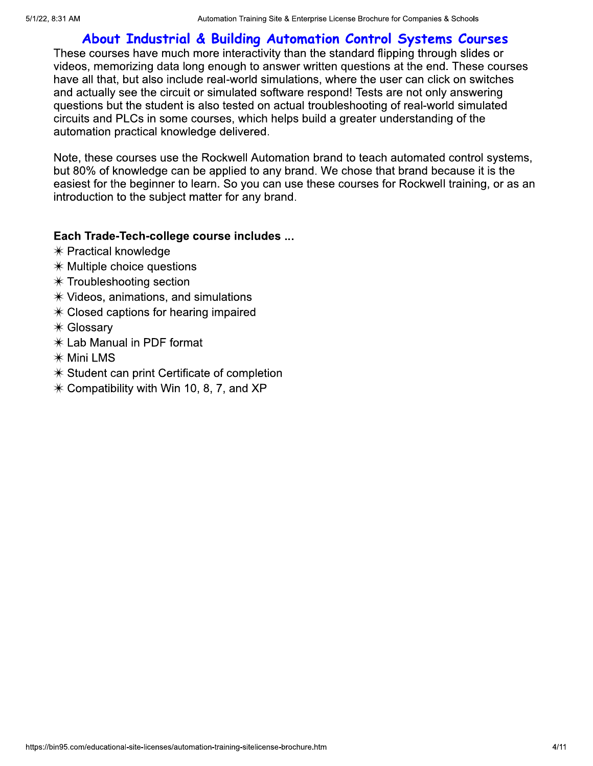## About Industrial & Building Automation Control Systems Courses

These courses have much more interactivity than the standard flipping through slides or videos, memorizing data long enough to answer written questions at the end. These courses have all that, but also include real-world simulations, where the user can click on switches and actually see the circuit or simulated software respond! Tests are not only answering questions but the student is also tested on actual troubleshooting of real-world simulated circuits and PLCs in some courses, which helps build a greater understanding of the automation practical knowledge delivered.

Note, these courses use the Rockwell Automation brand to teach automated control systems, but 80% of knowledge can be applied to any brand. We chose that brand because it is the easiest for the beginner to learn. So you can use these courses for Rockwell training, or as an introduction to the subject matter for any brand.

#### Each Trade-Tech-college course includes ...

- $*$  Practical knowledge
- $*$  Multiple choice questions
- $*$  Troubleshooting section
- $*$  Videos, animations, and simulations
- $*$  Closed captions for hearing impaired
- \* Glossary
- \* Lab Manual in PDF format
- \* Mini LMS
- $*$  Student can print Certificate of completion
- $*$  Compatibility with Win 10, 8, 7, and XP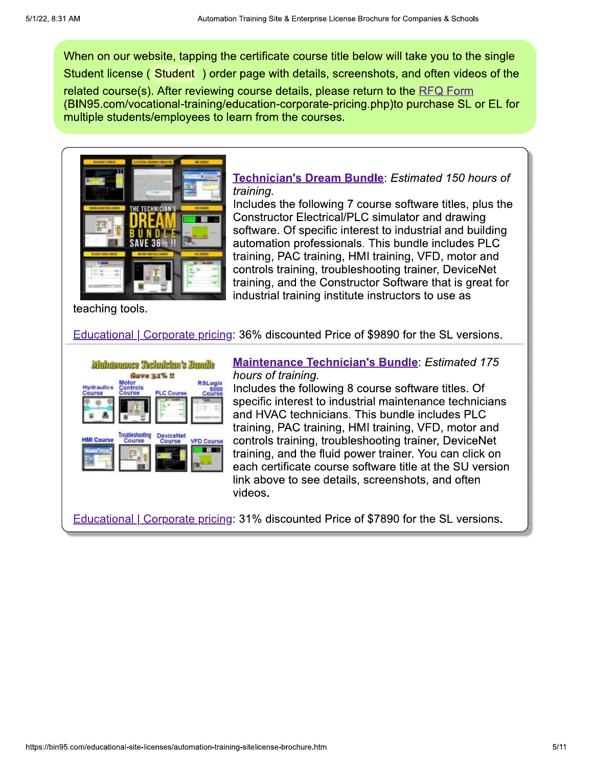When on our website, tapping the certificate course title below will take you to the single Student license (Student) order page with details, screenshots, and often videos of the related course(s). After reviewing course details, please return to the RFQ Form (BIN95.com/vocational-training/education-corporate-pricing.php)to purchase SL or EL for multiple students/employees to learn from the courses.



Technician's Dream Bundle: Estimated 150 hours of training.

Includes the following 7 course software titles, plus the **Constructor Electrical/PLC simulator and drawing** software. Of specific interest to industrial and building automation professionals. This bundle includes PLC training, PAC training, HMI training, VFD, motor and controls training, troubleshooting trainer, DeviceNet training, and the Constructor Software that is great for industrial training institute instructors to use as

teaching tools.

**Educational | Corporate pricing: 36% discounted Price of \$9890 for the SL versions.** 



**Maintenance Technician's Bundle: Estimated 175** hours of training.

Includes the following 8 course software titles. Of specific interest to industrial maintenance technicians and HVAC technicians. This bundle includes PLC training, PAC training, HMI training, VFD, motor and controls training, troubleshooting trainer, DeviceNet training, and the fluid power trainer. You can click on each certificate course software title at the SU version link above to see details, screenshots, and often videos.

**Educational | Corporate pricing: 31% discounted Price of \$7890 for the SL versions.**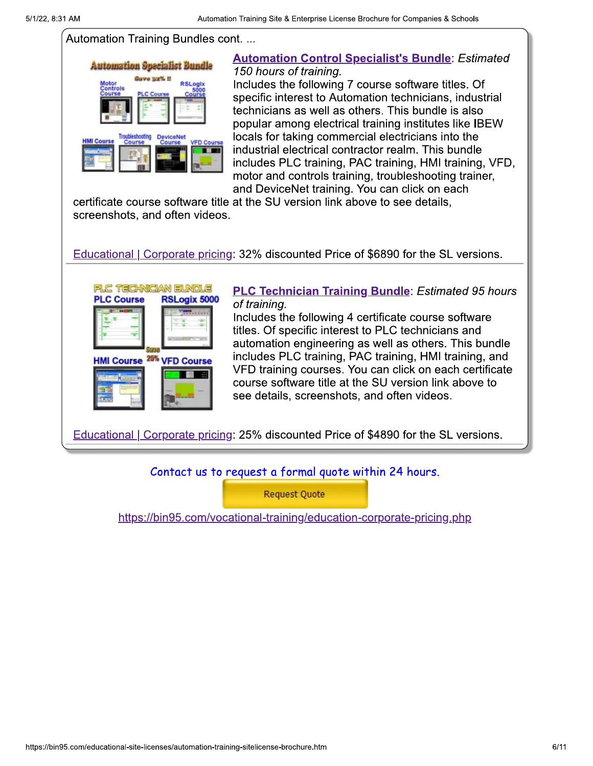#### Automation Training Bundles cont...



#### **Automation Control Specialist's Bundle: Estimated** 150 hours of training.

Includes the following 7 course software titles. Of specific interest to Automation technicians, industrial technicians as well as others. This bundle is also popular among electrical training institutes like IBEW locals for taking commercial electricians into the industrial electrical contractor realm. This bundle includes PLC training, PAC training, HMI training, VFD, motor and controls training, troubleshooting trainer, and DeviceNet training. You can click on each

certificate course software title at the SU version link above to see details. screenshots, and often videos.

Educational | Corporate pricing: 32% discounted Price of \$6890 for the SL versions.



**PLC Technician Training Bundle: Estimated 95 hours** of training.

Includes the following 4 certificate course software titles. Of specific interest to PLC technicians and automation engineering as well as others. This bundle includes PLC training, PAC training, HMI training, and VFD training courses. You can click on each certificate course software title at the SU version link above to see details, screenshots, and often videos.

**Educational | Corporate pricing: 25% discounted Price of \$4890 for the SL versions.** 

Contact us to request a formal quote within 24 hours.

**Request Quote** 

https://bin95.com/vocational-training/education-corporate-pricing.php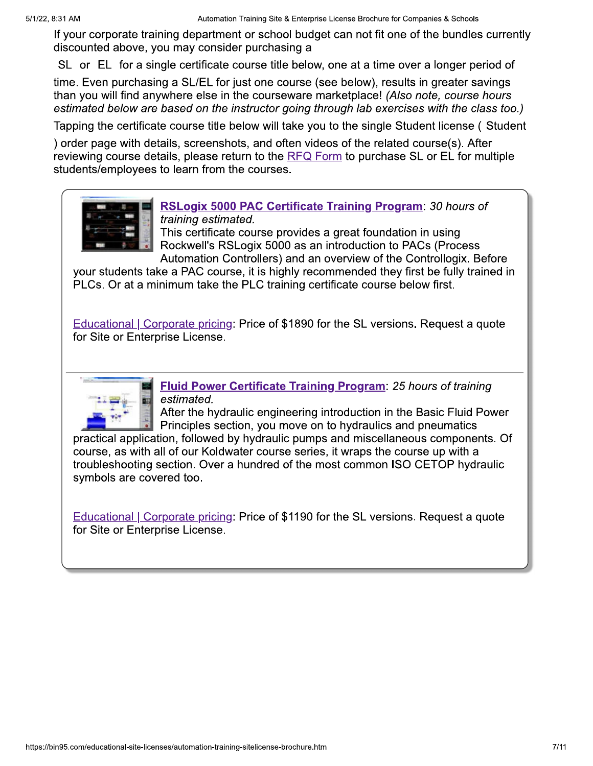If your corporate training department or school budget can not fit one of the bundles currently discounted above, you may consider purchasing a

SL or EL for a single certificate course title below, one at a time over a longer period of

time. Even purchasing a SL/EL for just one course (see below), results in greater savings than you will find anywhere else in the courseware marketplace! (Also note, course hours estimated below are based on the instructor going through lab exercises with the class too.)

Tapping the certificate course title below will take you to the single Student license (Student

) order page with details, screenshots, and often videos of the related course(s). After reviewing course details, please return to the RFQ Form to purchase SL or EL for multiple students/employees to learn from the courses.



RSLogix 5000 PAC Certificate Training Program: 30 hours of training estimated.

This certificate course provides a great foundation in using Rockwell's RSLogix 5000 as an introduction to PACs (Process Automation Controllers) and an overview of the Controllogix. Before

your students take a PAC course, it is highly recommended they first be fully trained in PLCs. Or at a minimum take the PLC training certificate course below first.

Educational | Corporate pricing: Price of \$1890 for the SL versions. Request a quote for Site or Enterprise License.



**Fluid Power Certificate Training Program: 25 hours of training** estimated.

After the hydraulic engineering introduction in the Basic Fluid Power Principles section, you move on to hydraulics and pneumatics

practical application, followed by hydraulic pumps and miscellaneous components. Of course, as with all of our Koldwater course series, it wraps the course up with a troubleshooting section. Over a hundred of the most common ISO CETOP hydraulic symbols are covered too.

Educational | Corporate pricing: Price of \$1190 for the SL versions. Request a quote for Site or Enterprise License.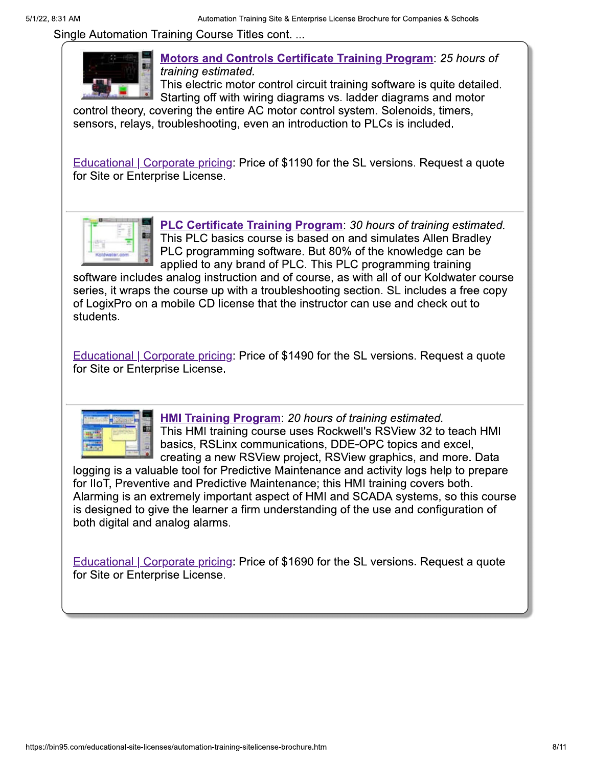Single Automation Training Course Titles cont...



**Motors and Controls Certificate Training Program: 25 hours of** training estimated.

This electric motor control circuit training software is quite detailed. Starting off with wiring diagrams vs. ladder diagrams and motor

control theory, covering the entire AC motor control system. Solenoids, timers, sensors, relays, troubleshooting, even an introduction to PLCs is included.

**Educational | Corporate pricing: Price of \$1190 for the SL versions. Request a quote** for Site or Enterprise License.



**PLC Certificate Training Program: 30 hours of training estimated.** This PLC basics course is based on and simulates Allen Bradley PLC programming software. But 80% of the knowledge can be applied to any brand of PLC. This PLC programming training

software includes analog instruction and of course, as with all of our Koldwater course series, it wraps the course up with a troubleshooting section. SL includes a free copy of LogixPro on a mobile CD license that the instructor can use and check out to students.

Educational | Corporate pricing: Price of \$1490 for the SL versions. Request a quote for Site or Enterprise License.



**HMI Training Program: 20 hours of training estimated.** This HMI training course uses Rockwell's RSView 32 to teach HMI basics, RSLinx communications, DDE-OPC topics and excel, creating a new RSView project, RSView graphics, and more. Data

logging is a valuable tool for Predictive Maintenance and activity logs help to prepare for IIoT, Preventive and Predictive Maintenance; this HMI training covers both. Alarming is an extremely important aspect of HMI and SCADA systems, so this course is designed to give the learner a firm understanding of the use and configuration of both digital and analog alarms.

Educational | Corporate pricing: Price of \$1690 for the SL versions. Request a quote for Site or Enterprise License.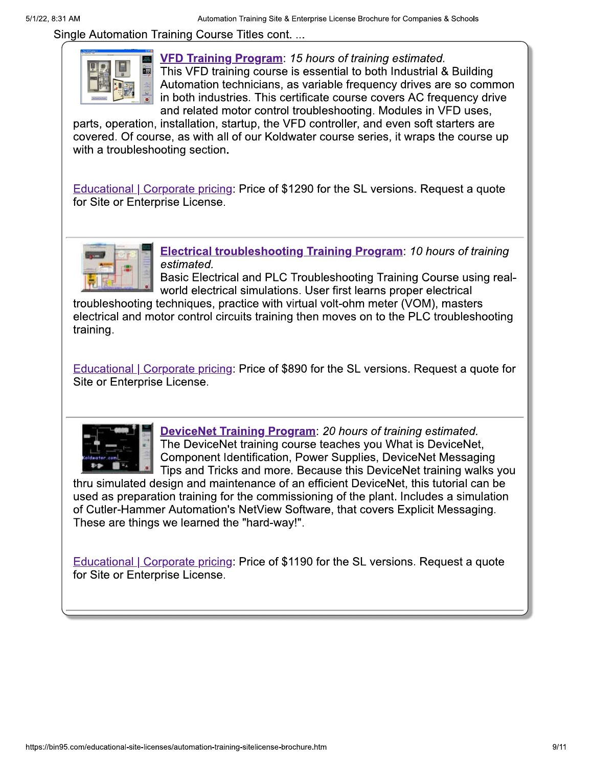Single Automation Training Course Titles cont...



**VFD Training Program: 15 hours of training estimated.** This VFD training course is essential to both Industrial & Building Automation technicians, as variable frequency drives are so common in both industries. This certificate course covers AC frequency drive and related motor control troubleshooting. Modules in VFD uses,

parts, operation, installation, startup, the VFD controller, and even soft starters are covered. Of course, as with all of our Koldwater course series, it wraps the course up with a troubleshooting section.

**Educational | Corporate pricing: Price of \$1290 for the SL versions. Request a quote** for Site or Enterprise License.



**Electrical troubleshooting Training Program: 10 hours of training** estimated.

Basic Electrical and PLC Troubleshooting Training Course using realworld electrical simulations. User first learns proper electrical

troubleshooting techniques, practice with virtual volt-ohm meter (VOM), masters electrical and motor control circuits training then moves on to the PLC troubleshooting training.

**Educational | Corporate pricing: Price of \$890 for the SL versions. Request a quote for** Site or Enterprise License.



**DeviceNet Training Program: 20 hours of training estimated.** The DeviceNet training course teaches you What is DeviceNet, Component Identification, Power Supplies, DeviceNet Messaging Tips and Tricks and more. Because this DeviceNet training walks you

thru simulated design and maintenance of an efficient DeviceNet, this tutorial can be used as preparation training for the commissioning of the plant. Includes a simulation of Cutler-Hammer Automation's NetView Software, that covers Explicit Messaging. These are things we learned the "hard-way!".

**Educational | Corporate pricing: Price of \$1190 for the SL versions. Request a quote** for Site or Enterprise License.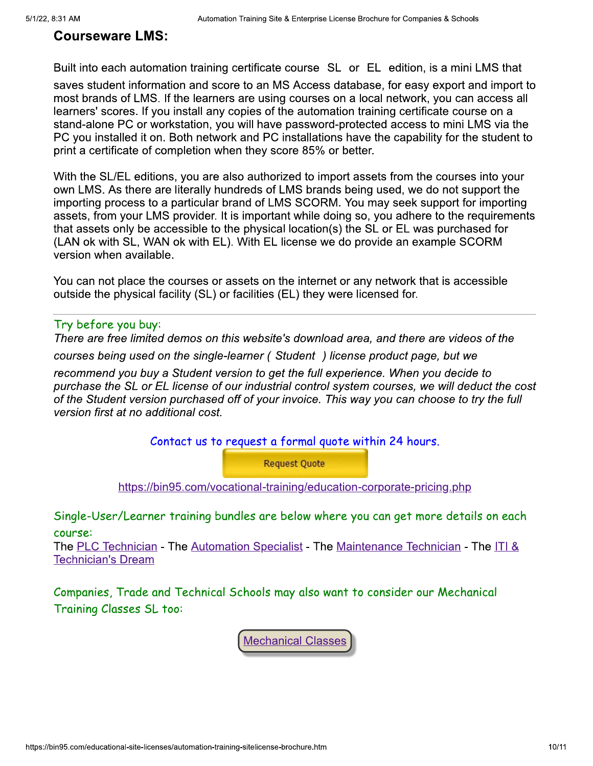#### **Courseware LMS:**

Built into each automation training certificate course SL or EL edition, is a mini LMS that

saves student information and score to an MS Access database, for easy export and import to most brands of LMS. If the learners are using courses on a local network, you can access all learners' scores. If you install any copies of the automation training certificate course on a stand-alone PC or workstation, you will have password-protected access to mini LMS via the PC you installed it on. Both network and PC installations have the capability for the student to print a certificate of completion when they score 85% or better.

With the SL/EL editions, you are also authorized to import assets from the courses into your own LMS. As there are literally hundreds of LMS brands being used, we do not support the importing process to a particular brand of LMS SCORM. You may seek support for importing assets, from your LMS provider. It is important while doing so, you adhere to the requirements that assets only be accessible to the physical location(s) the SL or EL was purchased for (LAN ok with SL, WAN ok with EL). With EL license we do provide an example SCORM version when available.

You can not place the courses or assets on the internet or any network that is accessible outside the physical facility (SL) or facilities (EL) they were licensed for.

#### Try before you buy:

There are free limited demos on this website's download area, and there are videos of the courses being used on the single-learner (Student) license product page, but we recommend you buy a Student version to get the full experience. When you decide to purchase the SL or EL license of our industrial control system courses, we will deduct the cost of the Student version purchased off of your invoice. This way you can choose to try the full version first at no additional cost.

Contact us to request a formal quote within 24 hours.

**Request Quote** 

https://bin95.com/vocational-training/education-corporate-pricing.php

Single-User/Learner training bundles are below where you can get more details on each course:

The PLC Technician - The Automation Specialist - The Maintenance Technician - The ITI & **Technician's Dream** 

Companies, Trade and Technical Schools may also want to consider our Mechanical Training Classes SL too:

**Mechanical Classes**